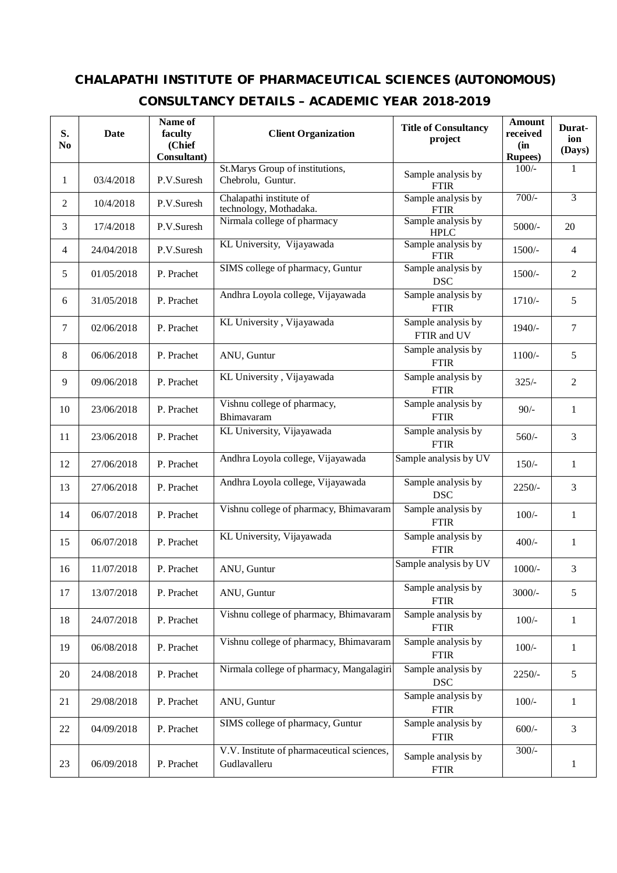## **CHALAPATHI INSTITUTE OF PHARMACEUTICAL SCIENCES (AUTONOMOUS)**

## **CONSULTANCY DETAILS – ACADEMIC YEAR 2018-2019**

| S.<br>N <sub>0</sub> | Date       | Name of<br>faculty<br>(Chief<br>Consultant) | <b>Client Organization</b>                                 | <b>Title of Consultancy</b><br>project | <b>Amount</b><br>received<br>(in<br><b>Rupees</b> ) | Durat-<br>ion<br>(Days) |
|----------------------|------------|---------------------------------------------|------------------------------------------------------------|----------------------------------------|-----------------------------------------------------|-------------------------|
| 1                    | 03/4/2018  | P.V.Suresh                                  | St.Marys Group of institutions,<br>Chebrolu, Guntur.       | Sample analysis by<br><b>FTIR</b>      | $100/-$                                             | 1                       |
| $\overline{2}$       | 10/4/2018  | P.V.Suresh                                  | Chalapathi institute of<br>technology, Mothadaka.          | Sample analysis by<br><b>FTIR</b>      | $700/-$                                             | $\overline{3}$          |
| 3                    | 17/4/2018  | P.V.Suresh                                  | Nirmala college of pharmacy                                | Sample analysis by<br><b>HPLC</b>      | $5000/-$                                            | 20                      |
| 4                    | 24/04/2018 | P.V.Suresh                                  | KL University, Vijayawada                                  | Sample analysis by<br><b>FTIR</b>      | 1500/-                                              | $\overline{4}$          |
| 5                    | 01/05/2018 | P. Prachet                                  | SIMS college of pharmacy, Guntur                           | Sample analysis by<br><b>DSC</b>       | 1500/-                                              | $\mathfrak{2}$          |
| 6                    | 31/05/2018 | P. Prachet                                  | Andhra Loyola college, Vijayawada                          | Sample analysis by<br><b>FTIR</b>      | $1710/-$                                            | 5                       |
| $\tau$               | 02/06/2018 | P. Prachet                                  | KL University, Vijayawada                                  | Sample analysis by<br>FTIR and UV      | $1940/-$                                            | $\overline{7}$          |
| 8                    | 06/06/2018 | P. Prachet                                  | ANU, Guntur                                                | Sample analysis by<br><b>FTIR</b>      | $1100/-$                                            | 5                       |
| 9                    | 09/06/2018 | P. Prachet                                  | KL University, Vijayawada                                  | Sample analysis by<br><b>FTIR</b>      | $325/-$                                             | $\overline{2}$          |
| 10                   | 23/06/2018 | P. Prachet                                  | Vishnu college of pharmacy,<br>Bhimavaram                  | Sample analysis by<br><b>FTIR</b>      | $90/-$                                              | $\mathbf{1}$            |
| 11                   | 23/06/2018 | P. Prachet                                  | KL University, Vijayawada                                  | Sample analysis by<br><b>FTIR</b>      | $560/-$                                             | 3                       |
| 12                   | 27/06/2018 | P. Prachet                                  | Andhra Loyola college, Vijayawada                          | Sample analysis by UV                  | $150/-$                                             | $\mathbf{1}$            |
| 13                   | 27/06/2018 | P. Prachet                                  | Andhra Loyola college, Vijayawada                          | Sample analysis by<br><b>DSC</b>       | $2250/-$                                            | 3                       |
| 14                   | 06/07/2018 | P. Prachet                                  | Vishnu college of pharmacy, Bhimavaram                     | Sample analysis by<br><b>FTIR</b>      | $100/-$                                             | $\mathbf{1}$            |
| 15                   | 06/07/2018 | P. Prachet                                  | KL University, Vijayawada                                  | Sample analysis by<br><b>FTIR</b>      | $400/-$                                             | $\mathbf{1}$            |
| 16                   | 11/07/2018 | P. Prachet                                  | ANU, Guntur                                                | Sample analysis by UV                  | $1000/-$                                            | 3                       |
| 17                   | 13/07/2018 | P. Prachet                                  | ANU, Guntur                                                | Sample analysis by<br><b>FTIR</b>      | $3000/-$                                            | 5                       |
| 18                   | 24/07/2018 | P. Prachet                                  | Vishnu college of pharmacy, Bhimavaram                     | Sample analysis by<br><b>FTIR</b>      | $100/-$                                             | $\mathbf{1}$            |
| 19                   | 06/08/2018 | P. Prachet                                  | Vishnu college of pharmacy, Bhimavaram                     | Sample analysis by<br><b>FTIR</b>      | $100/-$                                             | $\mathbf{1}$            |
| 20                   | 24/08/2018 | P. Prachet                                  | Nirmala college of pharmacy, Mangalagiri                   | Sample analysis by<br><b>DSC</b>       | $2250/-$                                            | 5                       |
| 21                   | 29/08/2018 | P. Prachet                                  | ANU, Guntur                                                | Sample analysis by<br><b>FTIR</b>      | $100/-$                                             | $\mathbf{1}$            |
| 22                   | 04/09/2018 | P. Prachet                                  | SIMS college of pharmacy, Guntur                           | Sample analysis by<br><b>FTIR</b>      | $600/-$                                             | 3                       |
| 23                   | 06/09/2018 | P. Prachet                                  | V.V. Institute of pharmaceutical sciences,<br>Gudlavalleru | Sample analysis by<br><b>FTIR</b>      | $300/-$                                             | $\mathbf{1}$            |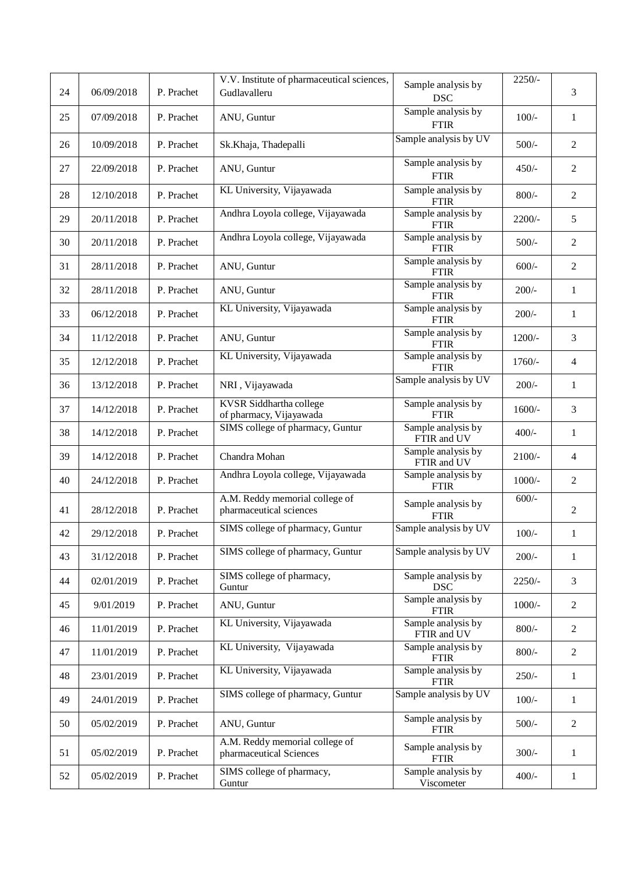|    |            |            | V.V. Institute of pharmaceutical sciences,                | Sample analysis by                | $2250/-$ |                |
|----|------------|------------|-----------------------------------------------------------|-----------------------------------|----------|----------------|
| 24 | 06/09/2018 | P. Prachet | Gudlavalleru                                              | <b>DSC</b>                        |          | 3              |
| 25 | 07/09/2018 | P. Prachet | ANU, Guntur                                               | Sample analysis by<br><b>FTIR</b> | $100/-$  | $\mathbf{1}$   |
| 26 | 10/09/2018 | P. Prachet | Sk.Khaja, Thadepalli                                      | Sample analysis by UV             | $500/-$  | $\overline{2}$ |
| 27 | 22/09/2018 | P. Prachet | ANU, Guntur                                               | Sample analysis by<br><b>FTIR</b> | $450/-$  | $\overline{2}$ |
| 28 | 12/10/2018 | P. Prachet | KL University, Vijayawada                                 | Sample analysis by<br><b>FTIR</b> | $800/-$  | $\overline{2}$ |
| 29 | 20/11/2018 | P. Prachet | Andhra Loyola college, Vijayawada                         | Sample analysis by<br><b>FTIR</b> | $2200/-$ | 5              |
| 30 | 20/11/2018 | P. Prachet | Andhra Loyola college, Vijayawada                         | Sample analysis by<br><b>FTIR</b> | $500/-$  | $\overline{2}$ |
| 31 | 28/11/2018 | P. Prachet | ANU, Guntur                                               | Sample analysis by<br><b>FTIR</b> | $600/-$  | $\sqrt{2}$     |
| 32 | 28/11/2018 | P. Prachet | ANU, Guntur                                               | Sample analysis by<br><b>FTIR</b> | $200/-$  | $\mathbf{1}$   |
| 33 | 06/12/2018 | P. Prachet | KL University, Vijayawada                                 | Sample analysis by<br><b>FTIR</b> | $200/-$  | $\mathbf{1}$   |
| 34 | 11/12/2018 | P. Prachet | ANU, Guntur                                               | Sample analysis by<br><b>FTIR</b> | $1200/-$ | 3              |
| 35 | 12/12/2018 | P. Prachet | KL University, Vijayawada                                 | Sample analysis by<br><b>FTIR</b> | 1760/-   | $\overline{4}$ |
| 36 | 13/12/2018 | P. Prachet | NRI, Vijayawada                                           | Sample analysis by UV             | $200/-$  | $\mathbf{1}$   |
| 37 | 14/12/2018 | P. Prachet | KVSR Siddhartha college<br>of pharmacy, Vijayawada        | Sample analysis by<br><b>FTIR</b> | $1600/-$ | 3              |
| 38 | 14/12/2018 | P. Prachet | SIMS college of pharmacy, Guntur                          | Sample analysis by<br>FTIR and UV | $400/-$  | $\mathbf{1}$   |
| 39 | 14/12/2018 | P. Prachet | Chandra Mohan                                             | Sample analysis by<br>FTIR and UV | $2100/-$ | $\overline{4}$ |
| 40 | 24/12/2018 | P. Prachet | Andhra Loyola college, Vijayawada                         | Sample analysis by<br><b>FTIR</b> | $1000/-$ | $\overline{2}$ |
| 41 | 28/12/2018 | P. Prachet | A.M. Reddy memorial college of<br>pharmaceutical sciences | Sample analysis by<br><b>FTIR</b> | $600/-$  | 2              |
| 42 | 29/12/2018 | P. Prachet | SIMS college of pharmacy, Guntur                          | Sample analysis by UV             | $100/-$  | $\mathbf{1}$   |
| 43 | 31/12/2018 | P. Prachet | SIMS college of pharmacy, Guntur                          | Sample analysis by UV             | $200/-$  | $\mathbf{1}$   |
| 44 | 02/01/2019 | P. Prachet | SIMS college of pharmacy,<br>Guntur                       | Sample analysis by<br><b>DSC</b>  | $2250/-$ | 3              |
| 45 | 9/01/2019  | P. Prachet | ANU, Guntur                                               | Sample analysis by<br><b>FTIR</b> | $1000/-$ | $\overline{2}$ |
| 46 | 11/01/2019 | P. Prachet | KL University, Vijayawada                                 | Sample analysis by<br>FTIR and UV | $800/-$  | $\overline{c}$ |
| 47 | 11/01/2019 | P. Prachet | KL University, Vijayawada                                 | Sample analysis by<br>FTIR        | $800/-$  | $\overline{c}$ |
| 48 | 23/01/2019 | P. Prachet | KL University, Vijayawada                                 | Sample analysis by<br><b>FTIR</b> | $250/-$  | $\mathbf{1}$   |
| 49 | 24/01/2019 | P. Prachet | SIMS college of pharmacy, Guntur                          | Sample analysis by UV             | $100/-$  | $\mathbf{1}$   |
| 50 | 05/02/2019 | P. Prachet | ANU, Guntur                                               | Sample analysis by<br><b>FTIR</b> | $500/-$  | $\overline{2}$ |
| 51 | 05/02/2019 | P. Prachet | A.M. Reddy memorial college of<br>pharmaceutical Sciences | Sample analysis by<br><b>FTIR</b> | $300/-$  | $\mathbf{1}$   |
| 52 | 05/02/2019 | P. Prachet | SIMS college of pharmacy,<br>Guntur                       | Sample analysis by<br>Viscometer  | $400/-$  | $\mathbf{1}$   |